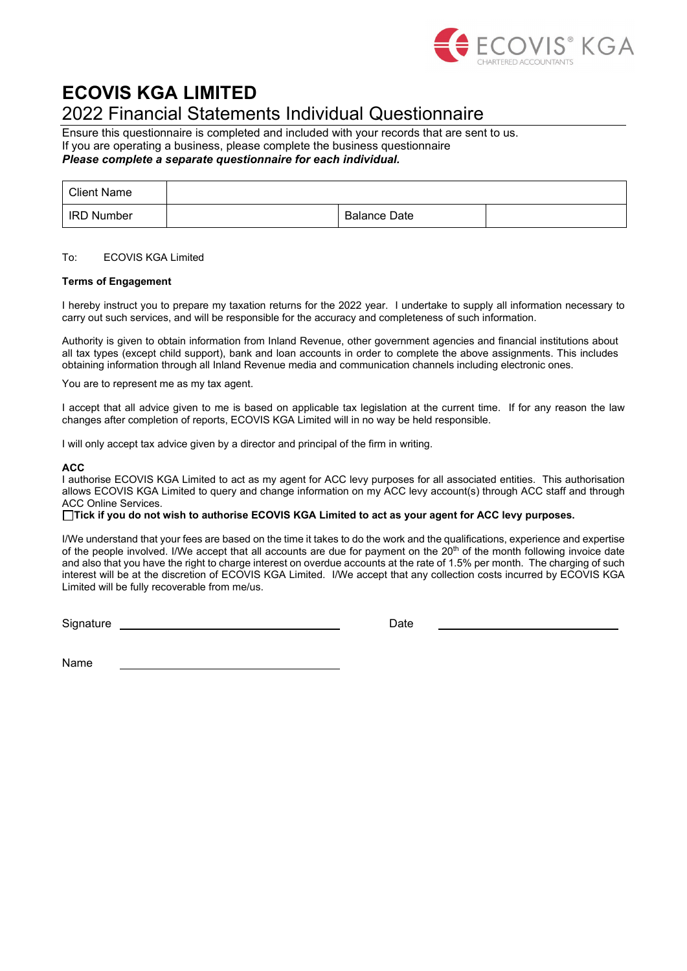

# **ECOVIS KGA LIMITED** 2022 Financial Statements Individual Questionnaire

Ensure this questionnaire is completed and included with your records that are sent to us. If you are operating a business, please complete the business questionnaire *Please complete a separate questionnaire for each individual.*

| Client Name       |                     |  |
|-------------------|---------------------|--|
| <b>IRD Number</b> | <b>Balance Date</b> |  |

# To: ECOVIS KGA Limited

# **Terms of Engagement**

I hereby instruct you to prepare my taxation returns for the 2022 year. I undertake to supply all information necessary to carry out such services, and will be responsible for the accuracy and completeness of such information.

Authority is given to obtain information from Inland Revenue, other government agencies and financial institutions about all tax types (except child support), bank and loan accounts in order to complete the above assignments. This includes obtaining information through all Inland Revenue media and communication channels including electronic ones.

You are to represent me as my tax agent.

I accept that all advice given to me is based on applicable tax legislation at the current time. If for any reason the law changes after completion of reports, ECOVIS KGA Limited will in no way be held responsible.

I will only accept tax advice given by a director and principal of the firm in writing.

### **ACC**

I authorise ECOVIS KGA Limited to act as my agent for ACC levy purposes for all associated entities. This authorisation allows ECOVIS KGA Limited to query and change information on my ACC levy account(s) through ACC staff and through ACC Online Services.

**Tick if you do not wish to authorise ECOVIS KGA Limited to act as your agent for ACC levy purposes.**

I/We understand that your fees are based on the time it takes to do the work and the qualifications, experience and expertise of the people involved. I/We accept that all accounts are due for payment on the  $20<sup>th</sup>$  of the month following invoice date and also that you have the right to charge interest on overdue accounts at the rate of 1.5% per month. The charging of such interest will be at the discretion of ECOVIS KGA Limited. I/We accept that any collection costs incurred by ECOVIS KGA Limited will be fully recoverable from me/us.

Signature Date Date Date

Name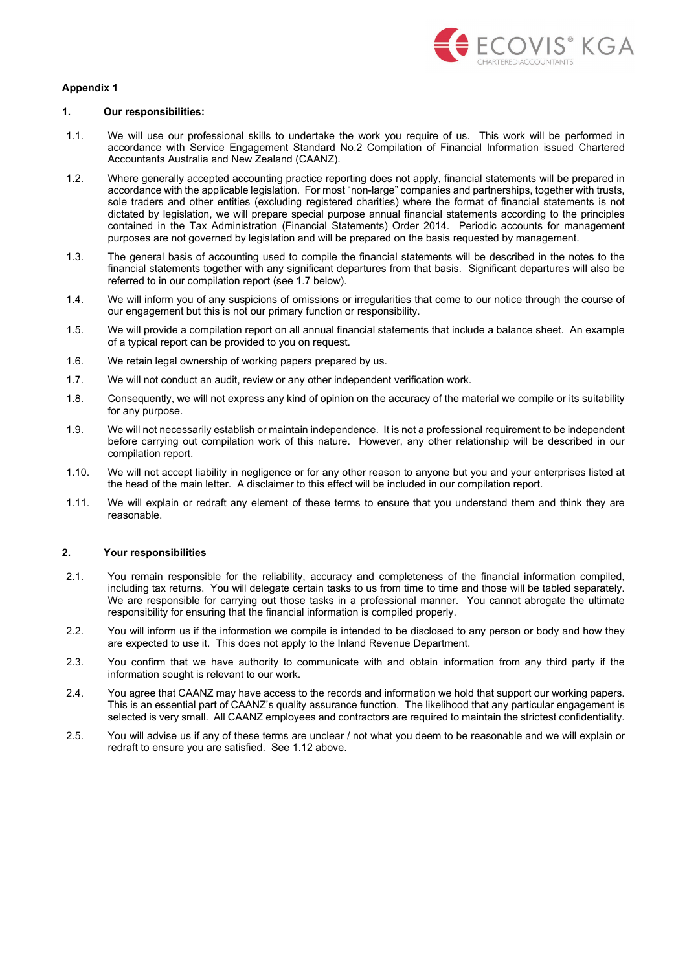

# **Appendix 1**

### **1. Our responsibilities:**

- 1.1. We will use our professional skills to undertake the work you require of us. This work will be performed in accordance with Service Engagement Standard No.2 Compilation of Financial Information issued Chartered Accountants Australia and New Zealand (CAANZ).
- 1.2. Where generally accepted accounting practice reporting does not apply, financial statements will be prepared in accordance with the applicable legislation. For most "non-large" companies and partnerships, together with trusts, sole traders and other entities (excluding registered charities) where the format of financial statements is not dictated by legislation, we will prepare special purpose annual financial statements according to the principles contained in the Tax Administration (Financial Statements) Order 2014. Periodic accounts for management purposes are not governed by legislation and will be prepared on the basis requested by management.
- 1.3. The general basis of accounting used to compile the financial statements will be described in the notes to the financial statements together with any significant departures from that basis. Significant departures will also be referred to in our compilation report (see 1.7 below).
- 1.4. We will inform you of any suspicions of omissions or irregularities that come to our notice through the course of our engagement but this is not our primary function or responsibility.
- 1.5. We will provide a compilation report on all annual financial statements that include a balance sheet. An example of a typical report can be provided to you on request.
- 1.6. We retain legal ownership of working papers prepared by us.
- 1.7. We will not conduct an audit, review or any other independent verification work.
- 1.8. Consequently, we will not express any kind of opinion on the accuracy of the material we compile or its suitability for any purpose.
- 1.9. We will not necessarily establish or maintain independence. It is not a professional requirement to be independent before carrying out compilation work of this nature. However, any other relationship will be described in our compilation report.
- 1.10. We will not accept liability in negligence or for any other reason to anyone but you and your enterprises listed at the head of the main letter. A disclaimer to this effect will be included in our compilation report.
- 1.11. We will explain or redraft any element of these terms to ensure that you understand them and think they are reasonable.

### **2. Your responsibilities**

- 2.1. You remain responsible for the reliability, accuracy and completeness of the financial information compiled, including tax returns. You will delegate certain tasks to us from time to time and those will be tabled separately. We are responsible for carrying out those tasks in a professional manner. You cannot abrogate the ultimate responsibility for ensuring that the financial information is compiled properly.
- 2.2. You will inform us if the information we compile is intended to be disclosed to any person or body and how they are expected to use it. This does not apply to the Inland Revenue Department.
- 2.3. You confirm that we have authority to communicate with and obtain information from any third party if the information sought is relevant to our work.
- 2.4. You agree that CAANZ may have access to the records and information we hold that support our working papers. This is an essential part of CAANZ's quality assurance function. The likelihood that any particular engagement is selected is very small. All CAANZ employees and contractors are required to maintain the strictest confidentiality.
- 2.5. You will advise us if any of these terms are unclear / not what you deem to be reasonable and we will explain or redraft to ensure you are satisfied. See 1.12 above.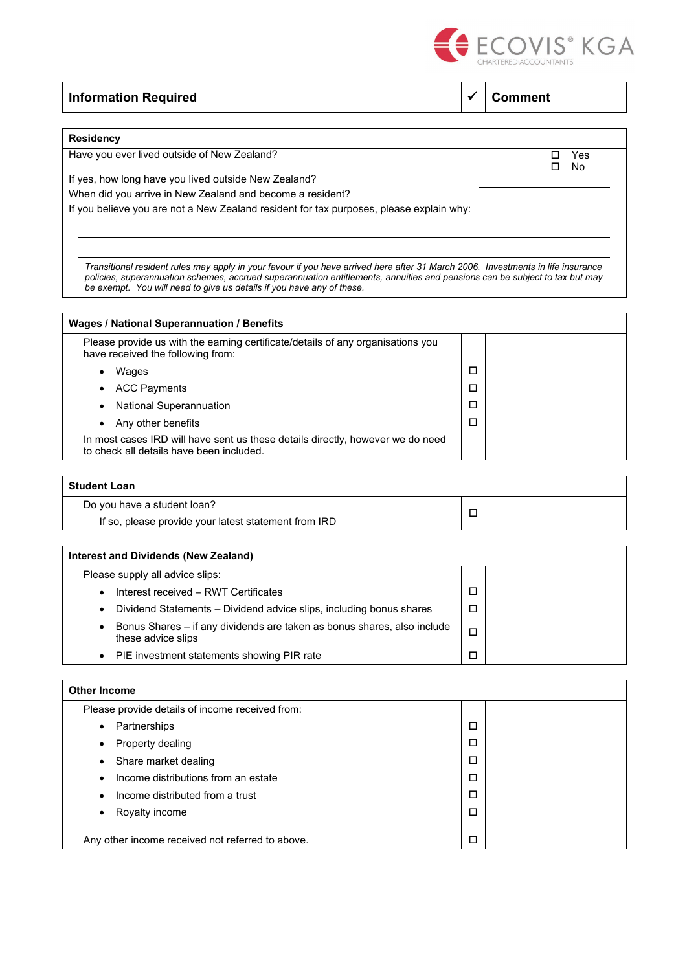

 $\square$  No

# **Information Required 1.2 Comment**

### **Residency**

Have you ever lived outside of New Zealand? 
<br>
T Yes

If yes, how long have you lived outside New Zealand?

When did you arrive in New Zealand and become a resident?

If you believe you are not a New Zealand resident for tax purposes, please explain why:

*Transitional resident rules may apply in your favour if you have arrived here after 31 March 2006. Investments in life insurance policies, superannuation schemes, accrued superannuation entitlements, annuities and pensions can be subject to tax but may be exempt. You will need to give us details if you have any of these.*

| Wages / National Superannuation / Benefits                                                                                 |   |  |
|----------------------------------------------------------------------------------------------------------------------------|---|--|
| Please provide us with the earning certificate/details of any organisations you<br>have received the following from:       |   |  |
| Wages                                                                                                                      | □ |  |
| <b>ACC Payments</b>                                                                                                        | □ |  |
| <b>National Superannuation</b>                                                                                             | □ |  |
| Any other benefits                                                                                                         | □ |  |
| In most cases IRD will have sent us these details directly, however we do need<br>to check all details have been included. |   |  |

| <b>Student Loan</b>                                  |   |  |
|------------------------------------------------------|---|--|
| Do you have a student loan?                          | □ |  |
| If so, please provide your latest statement from IRD |   |  |

| Interest and Dividends (New Zealand)                                                          |   |  |
|-----------------------------------------------------------------------------------------------|---|--|
| Please supply all advice slips:                                                               |   |  |
| Interest received - RWT Certificates                                                          | □ |  |
| Dividend Statements - Dividend advice slips, including bonus shares                           | □ |  |
| Bonus Shares – if any dividends are taken as bonus shares, also include<br>these advice slips | □ |  |
| PIE investment statements showing PIR rate                                                    | П |  |

# **Other Income**

| Please provide details of income received from:  |   |  |
|--------------------------------------------------|---|--|
| Partnerships<br>$\bullet$                        | □ |  |
| Property dealing<br>$\bullet$                    | □ |  |
| Share market dealing<br>$\bullet$                | □ |  |
| Income distributions from an estate<br>$\bullet$ | □ |  |
| Income distributed from a trust<br>$\bullet$     | □ |  |
| Royalty income<br>$\bullet$                      | □ |  |
|                                                  |   |  |
| Any other income received not referred to above. |   |  |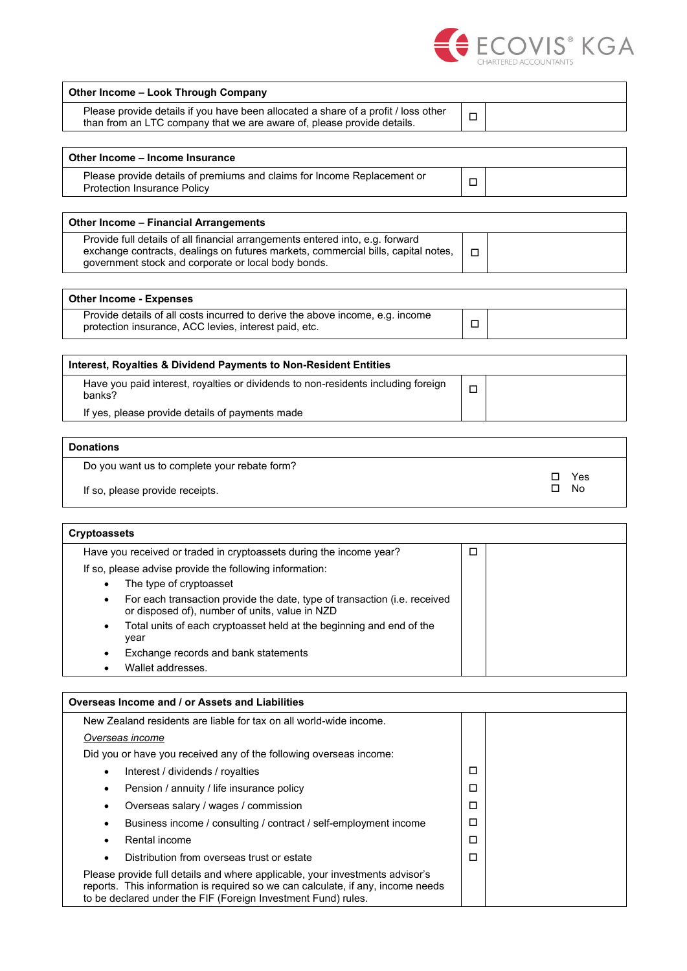

| Other Income - Look Through Company                                                                                                                          |   |  |
|--------------------------------------------------------------------------------------------------------------------------------------------------------------|---|--|
| Please provide details if you have been allocated a share of a profit / loss other<br>than from an LTC company that we are aware of, please provide details. | ┍ |  |
|                                                                                                                                                              |   |  |
| Other Income - Income Insurance                                                                                                                              |   |  |

| <b>PUTCH THROME - MOUNTE MISSIGNE</b>                                                                         |  |  |
|---------------------------------------------------------------------------------------------------------------|--|--|
| Please provide details of premiums and claims for Income Replacement or<br><b>Protection Insurance Policy</b> |  |  |
|                                                                                                               |  |  |

### **Other Income – Financial Arrangements** Provide full details of all financial arrangements entered into, e.g. forward exchange contracts, dealings on futures markets, commercial bills, capital notes, government stock and corporate or local body bonds.  $\Box$

| <b>Other Income - Expenses</b>                                                                                                         |   |  |
|----------------------------------------------------------------------------------------------------------------------------------------|---|--|
| Provide details of all costs incurred to derive the above income, e.g. income<br>protection insurance, ACC levies, interest paid, etc. | − |  |

| Interest, Royalties & Dividend Payments to Non-Resident Entities                            |        |  |
|---------------------------------------------------------------------------------------------|--------|--|
| Have you paid interest, royalties or dividends to non-residents including foreign<br>banks? | $\Box$ |  |
| If yes, please provide details of payments made                                             |        |  |

# **Donations**

| Do you want us to complete your rebate form? |   | Yes |
|----------------------------------------------|---|-----|
| If so, please provide receipts.              | П | No  |

| <b>Cryptoassets</b>                                                                                                                      |   |  |
|------------------------------------------------------------------------------------------------------------------------------------------|---|--|
| Have you received or traded in cryptoassets during the income year?                                                                      | □ |  |
| If so, please advise provide the following information:                                                                                  |   |  |
| The type of cryptoasset<br>٠                                                                                                             |   |  |
| For each transaction provide the date, type of transaction (i.e. received<br>$\bullet$<br>or disposed of), number of units, value in NZD |   |  |
| Total units of each cryptoasset held at the beginning and end of the<br>٠<br>year                                                        |   |  |
| Exchange records and bank statements<br>٠                                                                                                |   |  |
| Wallet addresses.                                                                                                                        |   |  |

| Overseas Income and / or Assets and Liabilities                                                                                                                                                                                  |   |  |
|----------------------------------------------------------------------------------------------------------------------------------------------------------------------------------------------------------------------------------|---|--|
| New Zealand residents are liable for tax on all world-wide income.                                                                                                                                                               |   |  |
| Overseas income                                                                                                                                                                                                                  |   |  |
| Did you or have you received any of the following overseas income:                                                                                                                                                               |   |  |
| Interest / dividends / royalties<br>٠                                                                                                                                                                                            | □ |  |
| Pension / annuity / life insurance policy<br>٠                                                                                                                                                                                   | □ |  |
| Overseas salary / wages / commission<br>٠                                                                                                                                                                                        | □ |  |
| Business income / consulting / contract / self-employment income                                                                                                                                                                 | □ |  |
| Rental income                                                                                                                                                                                                                    | □ |  |
| Distribution from overseas trust or estate                                                                                                                                                                                       | □ |  |
| Please provide full details and where applicable, your investments advisor's<br>reports. This information is required so we can calculate, if any, income needs<br>to be declared under the FIF (Foreign Investment Fund) rules. |   |  |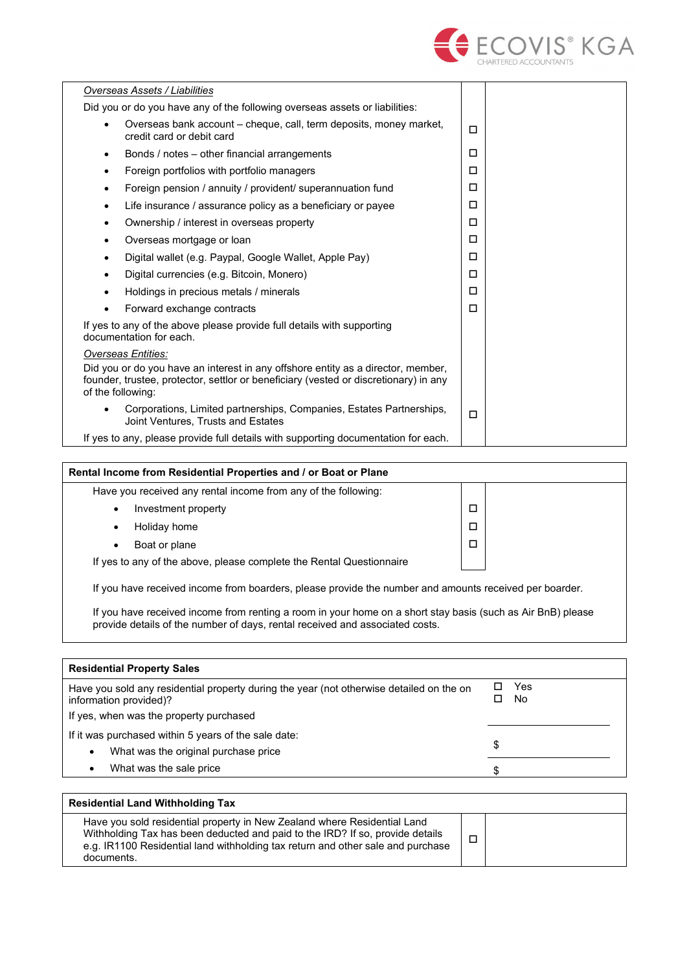

| Overseas Assets / Liabilities                                                                                                                                                                 |   |  |
|-----------------------------------------------------------------------------------------------------------------------------------------------------------------------------------------------|---|--|
| Did you or do you have any of the following overseas assets or liabilities:                                                                                                                   |   |  |
| Overseas bank account – cheque, call, term deposits, money market,<br>$\bullet$<br>credit card or debit card                                                                                  | П |  |
| Bonds / notes – other financial arrangements<br>٠                                                                                                                                             | □ |  |
| Foreign portfolios with portfolio managers<br>$\bullet$                                                                                                                                       | □ |  |
| Foreign pension / annuity / provident/ superannuation fund                                                                                                                                    | □ |  |
| Life insurance / assurance policy as a beneficiary or payee                                                                                                                                   | □ |  |
| Ownership / interest in overseas property                                                                                                                                                     | □ |  |
| Overseas mortgage or loan                                                                                                                                                                     | □ |  |
| Digital wallet (e.g. Paypal, Google Wallet, Apple Pay)                                                                                                                                        | □ |  |
| Digital currencies (e.g. Bitcoin, Monero)                                                                                                                                                     | П |  |
| Holdings in precious metals / minerals                                                                                                                                                        | П |  |
| Forward exchange contracts                                                                                                                                                                    | □ |  |
| If yes to any of the above please provide full details with supporting<br>documentation for each.                                                                                             |   |  |
| <b>Overseas Entities:</b>                                                                                                                                                                     |   |  |
| Did you or do you have an interest in any offshore entity as a director, member,<br>founder, trustee, protector, settlor or beneficiary (vested or discretionary) in any<br>of the following: |   |  |
| Corporations, Limited partnerships, Companies, Estates Partnerships,<br>Joint Ventures, Trusts and Estates                                                                                    | П |  |
| If yes to any, please provide full details with supporting documentation for each.                                                                                                            |   |  |

| Rental Income from Residential Properties and / or Boat or Plane     |        |  |
|----------------------------------------------------------------------|--------|--|
| Have you received any rental income from any of the following:       |        |  |
| Investment property                                                  | □      |  |
| Holiday home                                                         | $\Box$ |  |
| Boat or plane                                                        | $\Box$ |  |
| If yes to any of the above, please complete the Rental Questionnaire |        |  |

If you have received income from boarders, please provide the number and amounts received per boarder.

If you have received income from renting a room in your home on a short stay basis (such as Air BnB) please provide details of the number of days, rental received and associated costs.

| <b>Residential Property Sales</b>                                                                                  |            |
|--------------------------------------------------------------------------------------------------------------------|------------|
| Have you sold any residential property during the year (not otherwise detailed on the on<br>information provided)? | Yes<br>No. |
| If yes, when was the property purchased                                                                            |            |
| If it was purchased within 5 years of the sale date:                                                               |            |
| What was the original purchase price<br>$\bullet$                                                                  | S          |
| What was the sale price<br>٠                                                                                       |            |

| <b>Residential Land Withholding Tax</b>                                                                                                                                                                                                                    |        |  |
|------------------------------------------------------------------------------------------------------------------------------------------------------------------------------------------------------------------------------------------------------------|--------|--|
| Have you sold residential property in New Zealand where Residential Land<br>Withholding Tax has been deducted and paid to the IRD? If so, provide details<br>e.g. IR1100 Residential land withholding tax return and other sale and purchase<br>documents. | $\Box$ |  |